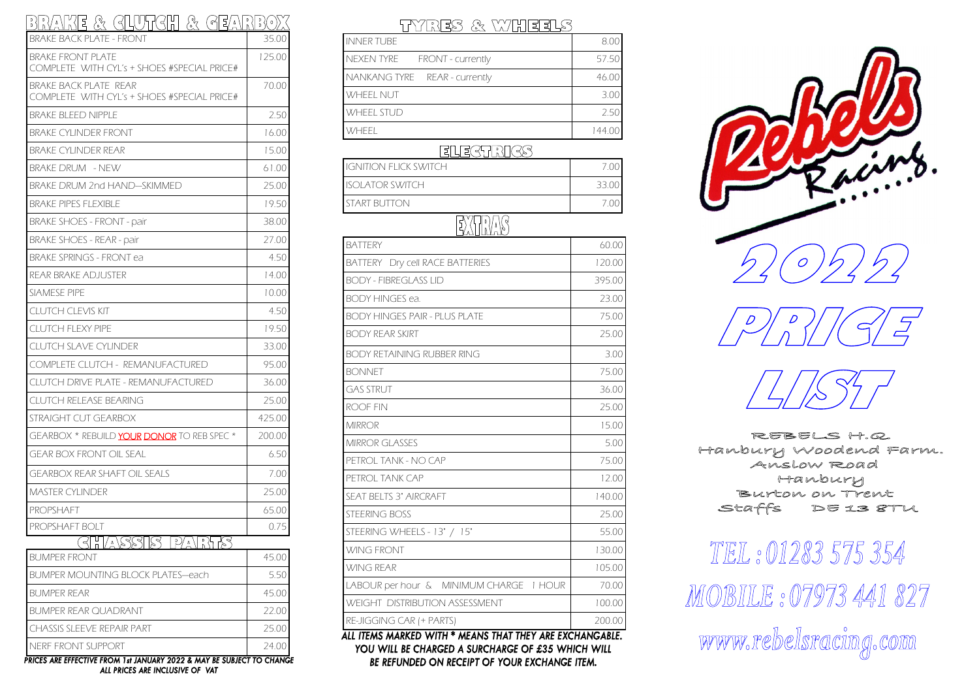## BRAKE & GLURGH & GEARBOX

| BRAKE BACK PLATE - FRONT                                             | 35.00  |
|----------------------------------------------------------------------|--------|
| BRAKE FRONT PLATE<br>COMPLETE WITH CYL's + SHOES #SPECIAL PRICE#     | 125.00 |
| BRAKE BACK PLATE REAR<br>COMPLETE WITH CYL's + SHOES #SPECIAL PRICE# | 70.00  |
| BRAKE BLEED NIPPLE                                                   | 2.50   |
| BRAKE CYLINDER FRONT                                                 | 16.00  |
| BRAKE CYLINDER REAR                                                  | 15.00  |
| BRAKE DRUM – NEW                                                     | 61.00  |
| BRAKE DRUM 2nd HAND—SKIMMED                                          | 25.00  |
| BRAKE PIPES FLEXIBLE                                                 | 19.50  |
| <b>BRAKE SHOES - FRONT - pair</b>                                    | 38.00  |
| BRAKE SHOES - REAR - pair                                            | 27.00  |
| <b>BRAKE SPRINGS - FRONT ea</b>                                      | 4.50   |
| REAR BRAKE ADJUSTER                                                  | 14.00  |
| SIAMESE PIPE                                                         | 10.00  |
| CLUTCH CLEVIS KIT                                                    | 4.50   |
| CLUTCH FLEXY PIPE                                                    | 19.50  |
| <b>CLUTCH SLAVE CYLINDER</b>                                         | 33.00  |
| COMPLETE CLUTCH - REMANUFACTURED                                     | 95.00  |
| CLUTCH DRIVE PLATE - REMANUFACTURED                                  | 36.00  |
| CLUTCH RELEASE BEARING                                               | 25.00  |
| STRAIGHT CUT GEARBOX                                                 | 425.00 |
| GEARBOX * REBUILD YOUR DONOR TO REB SPEC *                           | 200.00 |
| GEAR BOX FRONT OIL SEAL                                              | 6.50   |
| GEARBOX REAR SHAFT OIL SEALS                                         | 7.00   |
| MASTER CYLINDER                                                      | 25.00  |
| PROPSHAFT                                                            | 65.00  |
| PROPSHAFT BOLT                                                       | 0.75   |
| u<br>n<br>가경<br>888<br>$S^2$<br>′ ∆<br>/∆                            |        |
| BUMPER FRONT                                                         | 45.00  |
| <b>BUMPER MOUNTING BLOCK PLATES—each</b>                             | 5.50   |
| BUMPER REAR                                                          | 45.00  |
| BUMPER REAR QUADRANT                                                 | 22.00  |
| CHASSIS SLEEVE REPAIR PART                                           | 25.00  |
| NERF FRONT SUPPORT                                                   | 24.00  |

PRICES ARE EFFECTIVE FROM 1st JANUARY 2022 & MAY BE SUBJECT TO CHANGE ALL PRICES ARE INCLUSIVE OF VAT

## TYRES & WHEELS

| NNER TUBE                     | 8.00   |
|-------------------------------|--------|
| VEXEN TYRE FRONT - currently  | 57.50  |
| VANKANG TYRE REAR - currently | 46.00  |
| <i>X</i> HEEL NUT             | 3.00   |
| <b><i>VHEEL STUD</i></b>      | 2.50   |
| x/hffi                        | 144.00 |
|                               |        |

## **ELEGTRICS**

| $\overline{\phantom{a}}$ $\overline{\phantom{a}}$ $\overline{\phantom{a}}$ $\overline{\phantom{a}}$ $\overline{\phantom{a}}$ $\overline{\phantom{a}}$ $\overline{\phantom{a}}$ $\overline{\phantom{a}}$ $\overline{\phantom{a}}$ $\overline{\phantom{a}}$ $\overline{\phantom{a}}$ $\overline{\phantom{a}}$ $\overline{\phantom{a}}$ $\overline{\phantom{a}}$ $\overline{\phantom{a}}$ $\overline{\phantom{a}}$ $\overline{\phantom{a}}$ $\overline{\phantom{a}}$ $\overline{\$ |       |
|---------------------------------------------------------------------------------------------------------------------------------------------------------------------------------------------------------------------------------------------------------------------------------------------------------------------------------------------------------------------------------------------------------------------------------------------------------------------------------|-------|
| START BUTTON                                                                                                                                                                                                                                                                                                                                                                                                                                                                    |       |
| ISOI ATOR SWITCH                                                                                                                                                                                                                                                                                                                                                                                                                                                                | 33.00 |
| <b>IGNITION FLICK SWITCH</b>                                                                                                                                                                                                                                                                                                                                                                                                                                                    |       |

## EXTRAS

| <b>BATTERY</b>                          | 60.00  |
|-----------------------------------------|--------|
| BATTERY<br>Dry cell RACE BATTERIES      | 120.00 |
| <b>BODY - FIBREGLASS LID</b>            | 395.00 |
| <b>BODY HINGES ea.</b>                  | 23.00  |
| <b>BODY HINGES PAIR - PLUS PLATE</b>    | 75.00  |
| <b>BODY REAR SKIRT</b>                  | 25.00  |
| <b>BODY RETAINING RUBBER RING</b>       | 3.00   |
| <b>BONNET</b>                           | 75.00  |
| <b>GAS STRUT</b>                        | 36.00  |
| <b>ROOF FIN</b>                         | 25.00  |
| <b>MIRROR</b>                           | 15.00  |
| <b>MIRROR GLASSES</b>                   | 5.00   |
| PETROL TANK - NO CAP                    | 75.00  |
| PETROL TANK CAP                         | 12.00  |
| <b>SEAT BELTS 3" AIRCRAFT</b>           | 140.00 |
| <b>STEERING BOSS</b>                    | 25.00  |
| STEERING WHEELS - 13" / 15"             | 55.00  |
| <b>WING FRONT</b>                       | 130.00 |
| <b>WING REAR</b>                        | 105.00 |
| LABOUR per hour & MINIMUM CHARGE 1 HOUR | 70.00  |
| <b>WEIGHT DISTRIBUTION ASSESSMENT</b>   | 100.00 |
| <b>RE-JIGGING CAR (+ PARTS)</b>         | 200.00 |

BE REFUNDED ON RECEIPT OF YOUR EXCHANGE ITEM.







REBELS H.Q. Hanbury Woodend Farm.<br>Anslow Road Hanbury Burton on Trent Staffs DE 13 8TU

TEL: 01283 575 354 MOBILE: 07973 441 827 www.rebelsracing.com